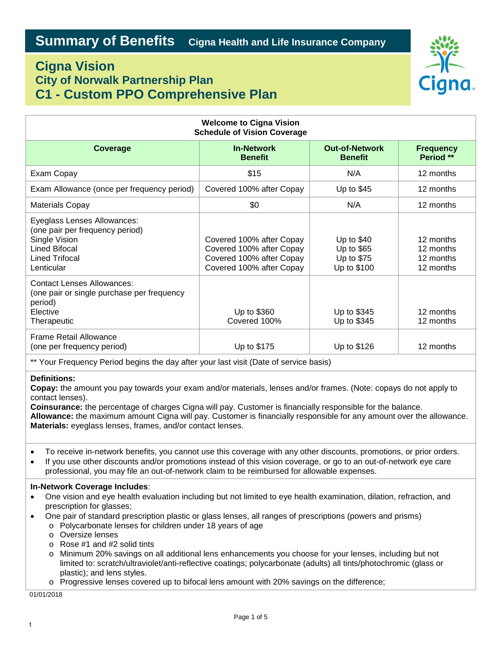# **Cigna Vision City of Norwalk Partnership Plan C1 - Custom PPO Comprehensive Plan**



| <b>Welcome to Cigna Vision</b><br><b>Schedule of Vision Coverage</b>                                                                    |                                                                                                              |                                                        |                                                  |
|-----------------------------------------------------------------------------------------------------------------------------------------|--------------------------------------------------------------------------------------------------------------|--------------------------------------------------------|--------------------------------------------------|
| Coverage                                                                                                                                | <b>In-Network</b><br><b>Benefit</b>                                                                          | <b>Out-of-Network</b><br><b>Benefit</b>                | <b>Frequency</b><br>Period **                    |
| Exam Copay                                                                                                                              | \$15                                                                                                         | N/A                                                    | 12 months                                        |
| Exam Allowance (once per frequency period)                                                                                              | Covered 100% after Copay                                                                                     | Up to $$45$                                            | 12 months                                        |
| Materials Copay                                                                                                                         | \$0                                                                                                          | N/A                                                    | 12 months                                        |
| Eyeglass Lenses Allowances:<br>(one pair per frequency period)<br>Single Vision<br><b>Lined Bifocal</b><br>Lined Trifocal<br>Lenticular | Covered 100% after Copay<br>Covered 100% after Copay<br>Covered 100% after Copay<br>Covered 100% after Copay | Up to $$40$<br>Up to \$65<br>Up to \$75<br>Up to \$100 | 12 months<br>12 months<br>12 months<br>12 months |
| <b>Contact Lenses Allowances:</b><br>(one pair or single purchase per frequency<br>period)<br>Elective<br>Therapeutic                   | Up to \$360<br>Covered 100%                                                                                  | Up to \$345<br>Up to \$345                             | 12 months<br>12 months                           |
| Frame Retail Allowance<br>(one per frequency period)                                                                                    | Up to \$175                                                                                                  | Up to \$126                                            | 12 months                                        |

\*\* Your Frequency Period begins the day after your last visit (Date of service basis)

## **Definitions:**

**Copay:** the amount you pay towards your exam and/or materials, lenses and/or frames. (Note: copays do not apply to contact lenses).

**Coinsurance:** the percentage of charges Cigna will pay. Customer is financially responsible for the balance. **Allowance:** the maximum amount Cigna will pay. Customer is financially responsible for any amount over the allowance. **Materials:** eyeglass lenses, frames, and/or contact lenses.

- To receive in-network benefits, you cannot use this coverage with any other discounts, promotions, or prior orders.
- If you use other discounts and/or promotions instead of this vision coverage, or go to an out-of-network eye care professional, you may file an out-of-network claim to be reimbursed for allowable expenses.

## **In-Network Coverage Includes**:

- One vision and eye health evaluation including but not limited to eye health examination, dilation, refraction, and prescription for glasses;
- One pair of standard prescription plastic or glass lenses, all ranges of prescriptions (powers and prisms)
	- o Polycarbonate lenses for children under 18 years of age
		- o Oversize lenses
		- o Rose #1 and #2 solid tints
		- o Minimum 20% savings on all additional lens enhancements you choose for your lenses, including but not limited to: scratch/ultraviolet/anti-reflective coatings; polycarbonate (adults) all tints/photochromic (glass or plastic); and lens styles.
		- o Progressive lenses covered up to bifocal lens amount with 20% savings on the difference;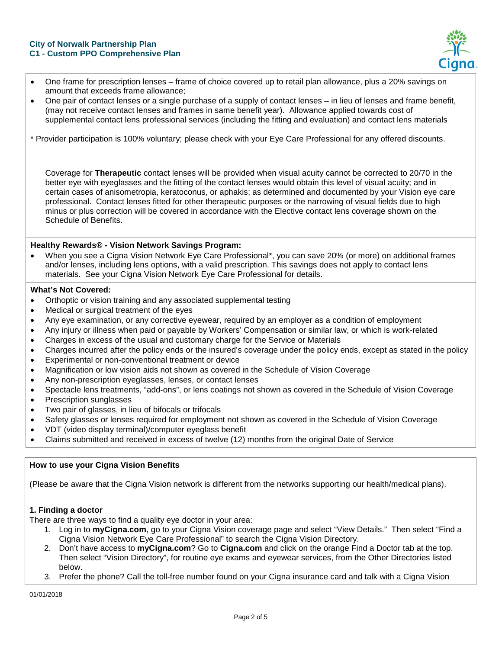

- One frame for prescription lenses frame of choice covered up to retail plan allowance, plus a 20% savings on amount that exceeds frame allowance;
- One pair of contact lenses or a single purchase of a supply of contact lenses in lieu of lenses and frame benefit, (may not receive contact lenses and frames in same benefit year). Allowance applied towards cost of supplemental contact lens professional services (including the fitting and evaluation) and contact lens materials

\* Provider participation is 100% voluntary; please check with your Eye Care Professional for any offered discounts.

Coverage for **Therapeutic** contact lenses will be provided when visual acuity cannot be corrected to 20/70 in the better eye with eyeglasses and the fitting of the contact lenses would obtain this level of visual acuity; and in certain cases of anisometropia, keratoconus, or aphakis; as determined and documented by your Vision eye care professional. Contact lenses fitted for other therapeutic purposes or the narrowing of visual fields due to high minus or plus correction will be covered in accordance with the Elective contact lens coverage shown on the Schedule of Benefits.

#### **Healthy Rewards® - Vision Network Savings Program:**

• When you see a Cigna Vision Network Eye Care Professional\*, you can save 20% (or more) on additional frames and/or lenses, including lens options, with a valid prescription. This savings does not apply to contact lens materials. See your Cigna Vision Network Eye Care Professional for details.

#### **What's Not Covered:**

- Orthoptic or vision training and any associated supplemental testing
- Medical or surgical treatment of the eyes
- Any eye examination, or any corrective eyewear, required by an employer as a condition of employment
- Any injury or illness when paid or payable by Workers' Compensation or similar law, or which is work-related
- Charges in excess of the usual and customary charge for the Service or Materials
- Charges incurred after the policy ends or the insured's coverage under the policy ends, except as stated in the policy
- Experimental or non-conventional treatment or device
- Magnification or low vision aids not shown as covered in the Schedule of Vision Coverage
- Any non-prescription eyeglasses, lenses, or contact lenses
- Spectacle lens treatments, "add-ons", or lens coatings not shown as covered in the Schedule of Vision Coverage
- Prescription sunglasses
- Two pair of glasses, in lieu of bifocals or trifocals
- Safety glasses or lenses required for employment not shown as covered in the Schedule of Vision Coverage
- VDT (video display terminal)/computer eyeglass benefit
- Claims submitted and received in excess of twelve (12) months from the original Date of Service

## **How to use your Cigna Vision Benefits**

(Please be aware that the Cigna Vision network is different from the networks supporting our health/medical plans).

## **1. Finding a doctor**

There are three ways to find a quality eye doctor in your area:

- 1. Log in to **myCigna.com**, go to your Cigna Vision coverage page and select "View Details." Then select "Find a Cigna Vision Network Eye Care Professional" to search the Cigna Vision Directory.
- 2. Don't have access to **myCigna.com**? Go to **Cigna.com** and click on the orange Find a Doctor tab at the top. Then select "Vision Directory", for routine eye exams and eyewear services, from the Other Directories listed below.
- 3. Prefer the phone? Call the toll-free number found on your Cigna insurance card and talk with a Cigna Vision

01/01/2018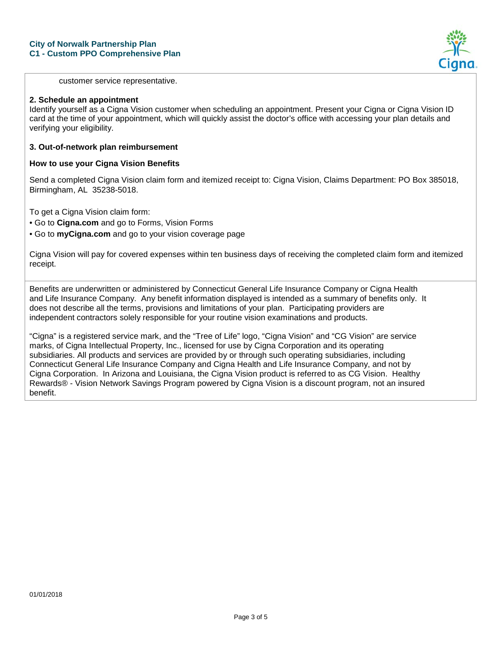

customer service representative.

#### **2. Schedule an appointment**

Identify yourself as a Cigna Vision customer when scheduling an appointment. Present your Cigna or Cigna Vision ID card at the time of your appointment, which will quickly assist the doctor's office with accessing your plan details and verifying your eligibility.

#### **3. Out-of-network plan reimbursement**

#### **How to use your Cigna Vision Benefits**

Send a completed Cigna Vision claim form and itemized receipt to: Cigna Vision, Claims Department: PO Box 385018, Birmingham, AL 35238-5018.

To get a Cigna Vision claim form:

• Go to **Cigna.com** and go to Forms, Vision Forms

• Go to **myCigna.com** and go to your vision coverage page

Cigna Vision will pay for covered expenses within ten business days of receiving the completed claim form and itemized receipt.

Benefits are underwritten or administered by Connecticut General Life Insurance Company or Cigna Health and Life Insurance Company. Any benefit information displayed is intended as a summary of benefits only. It does not describe all the terms, provisions and limitations of your plan. Participating providers are independent contractors solely responsible for your routine vision examinations and products.

"Cigna" is a registered service mark, and the "Tree of Life" logo, "Cigna Vision" and "CG Vision" are service marks, of Cigna Intellectual Property, Inc., licensed for use by Cigna Corporation and its operating subsidiaries. All products and services are provided by or through such operating subsidiaries, including Connecticut General Life Insurance Company and Cigna Health and Life Insurance Company, and not by Cigna Corporation. In Arizona and Louisiana, the Cigna Vision product is referred to as CG Vision. Healthy Rewards® - Vision Network Savings Program powered by Cigna Vision is a discount program, not an insured benefit.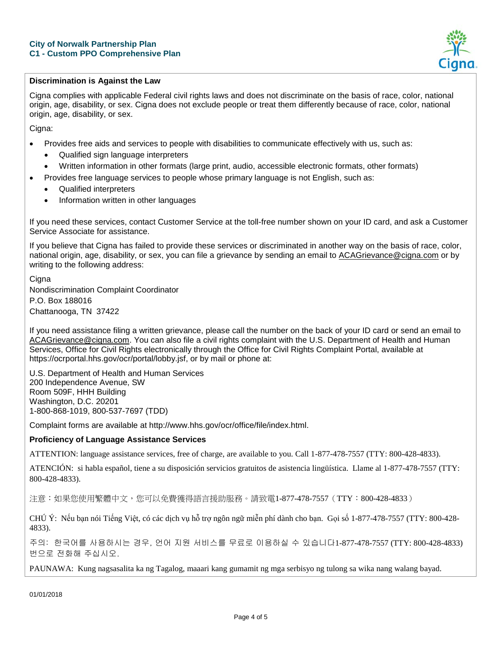

# **Discrimination is Against the Law**

Cigna complies with applicable Federal civil rights laws and does not discriminate on the basis of race, color, national origin, age, disability, or sex. Cigna does not exclude people or treat them differently because of race, color, national origin, age, disability, or sex.

Cigna:

- Provides free aids and services to people with disabilities to communicate effectively with us, such as:
	- Qualified sign language interpreters
	- Written information in other formats (large print, audio, accessible electronic formats, other formats)
- Provides free language services to people whose primary language is not English, such as:
	- Qualified interpreters
	- Information written in other languages

If you need these services, contact Customer Service at the toll-free number shown on your ID card, and ask a Customer Service Associate for assistance.

If you believe that Cigna has failed to provide these services or discriminated in another way on the basis of race, color, national origin, age, disability, or sex, you can file a grievance by sending an email to [ACAGrievance@cigna.com](mailto:ACAGrievance@cigna.com) or by writing to the following address:

**Cigna** Nondiscrimination Complaint Coordinator P.O. Box 188016 Chattanooga, TN 37422

If you need assistance filing a written grievance, please call the number on the back of your ID card or send an email to [ACAGrievance@cigna.com.](mailto:ACAGrievance@cigna.com) You can also file a civil rights complaint with the U.S. Department of Health and Human Services, Office for Civil Rights electronically through the Office for Civil Rights Complaint Portal, available at https://ocrportal.hhs.gov/ocr/portal/lobby.jsf, or by mail or phone at:

U.S. Department of Health and Human Services 200 Independence Avenue, SW Room 509F, HHH Building Washington, D.C. 20201 1-800-868-1019, 800-537-7697 (TDD)

Complaint forms are available at http://www.hhs.gov/ocr/office/file/index.html.

#### **Proficiency of Language Assistance Services**

ATTENTION: language assistance services, free of charge, are available to you. Call 1-877-478-7557 (TTY: 800-428-4833).

ATENCIÓN: si habla español, tiene a su disposición servicios gratuitos de asistencia lingüística. Llame al 1-877-478-7557 (TTY: 800-428-4833).

注意:如果您使用繁體中文,您可以免費獲得語言援助服務。請致電1-877-478-7557(TTY:800-428-4833)

CHÚ Ý: Nếu bạn nói Tiếng Việt, có các dịch vụ hỗ trợ ngôn ngữ miễn phí dành cho bạn. Gọi số 1-877-478-7557 (TTY: 800-428- 4833).

주의: 한국어를 사용하시는 경우, 언어 지원 서비스를 무료로 이용하실 수 있습니다1-877-478-7557 (TTY: 800-428-4833) 번으로 전화해 주십시오.

PAUNAWA: Kung nagsasalita ka ng Tagalog, maaari kang gumamit ng mga serbisyo ng tulong sa wika nang walang bayad.

01/01/2018